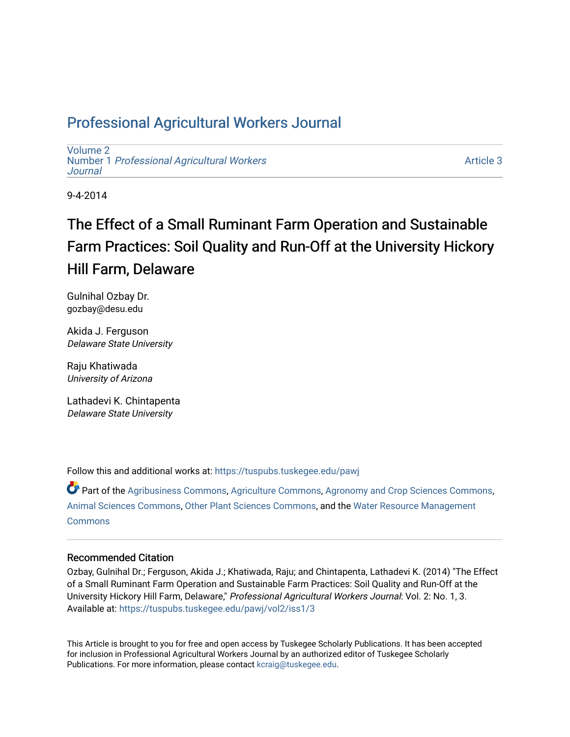## Professional Agricultural Workers Journal

[Volume 2](https://tuspubs.tuskegee.edu/pawj/vol2) Number 1 [Professional Agricultural Workers](https://tuspubs.tuskegee.edu/pawj/vol2/iss1)  **Journal** 

[Article 3](https://tuspubs.tuskegee.edu/pawj/vol2/iss1/3) 

9-4-2014

# The Effect of a Small Ruminant Farm Operation and Sustainable Farm Practices: Soil Quality and Run-Off at the University Hickory Hill Farm, Delaware

Gulnihal Ozbay Dr. gozbay@desu.edu

Akida J. Ferguson Delaware State University

Raju Khatiwada University of Arizona

Lathadevi K. Chintapenta Delaware State University

Follow this and additional works at: [https://tuspubs.tuskegee.edu/pawj](https://tuspubs.tuskegee.edu/pawj?utm_source=tuspubs.tuskegee.edu%2Fpawj%2Fvol2%2Fiss1%2F3&utm_medium=PDF&utm_campaign=PDFCoverPages)

Part of the [Agribusiness Commons,](http://network.bepress.com/hgg/discipline/1051?utm_source=tuspubs.tuskegee.edu%2Fpawj%2Fvol2%2Fiss1%2F3&utm_medium=PDF&utm_campaign=PDFCoverPages) [Agriculture Commons](http://network.bepress.com/hgg/discipline/1076?utm_source=tuspubs.tuskegee.edu%2Fpawj%2Fvol2%2Fiss1%2F3&utm_medium=PDF&utm_campaign=PDFCoverPages), [Agronomy and Crop Sciences Commons](http://network.bepress.com/hgg/discipline/103?utm_source=tuspubs.tuskegee.edu%2Fpawj%2Fvol2%2Fiss1%2F3&utm_medium=PDF&utm_campaign=PDFCoverPages), [Animal Sciences Commons](http://network.bepress.com/hgg/discipline/76?utm_source=tuspubs.tuskegee.edu%2Fpawj%2Fvol2%2Fiss1%2F3&utm_medium=PDF&utm_campaign=PDFCoverPages), [Other Plant Sciences Commons,](http://network.bepress.com/hgg/discipline/109?utm_source=tuspubs.tuskegee.edu%2Fpawj%2Fvol2%2Fiss1%2F3&utm_medium=PDF&utm_campaign=PDFCoverPages) and the [Water Resource Management](http://network.bepress.com/hgg/discipline/1057?utm_source=tuspubs.tuskegee.edu%2Fpawj%2Fvol2%2Fiss1%2F3&utm_medium=PDF&utm_campaign=PDFCoverPages) **[Commons](http://network.bepress.com/hgg/discipline/1057?utm_source=tuspubs.tuskegee.edu%2Fpawj%2Fvol2%2Fiss1%2F3&utm_medium=PDF&utm_campaign=PDFCoverPages)** 

#### Recommended Citation

Ozbay, Gulnihal Dr.; Ferguson, Akida J.; Khatiwada, Raju; and Chintapenta, Lathadevi K. (2014) "The Effect of a Small Ruminant Farm Operation and Sustainable Farm Practices: Soil Quality and Run-Off at the University Hickory Hill Farm, Delaware," Professional Agricultural Workers Journal: Vol. 2: No. 1, 3. Available at: [https://tuspubs.tuskegee.edu/pawj/vol2/iss1/3](https://tuspubs.tuskegee.edu/pawj/vol2/iss1/3?utm_source=tuspubs.tuskegee.edu%2Fpawj%2Fvol2%2Fiss1%2F3&utm_medium=PDF&utm_campaign=PDFCoverPages)

This Article is brought to you for free and open access by Tuskegee Scholarly Publications. It has been accepted for inclusion in Professional Agricultural Workers Journal by an authorized editor of Tuskegee Scholarly Publications. For more information, please contact [kcraig@tuskegee.edu.](mailto:kcraig@tuskegee.edu)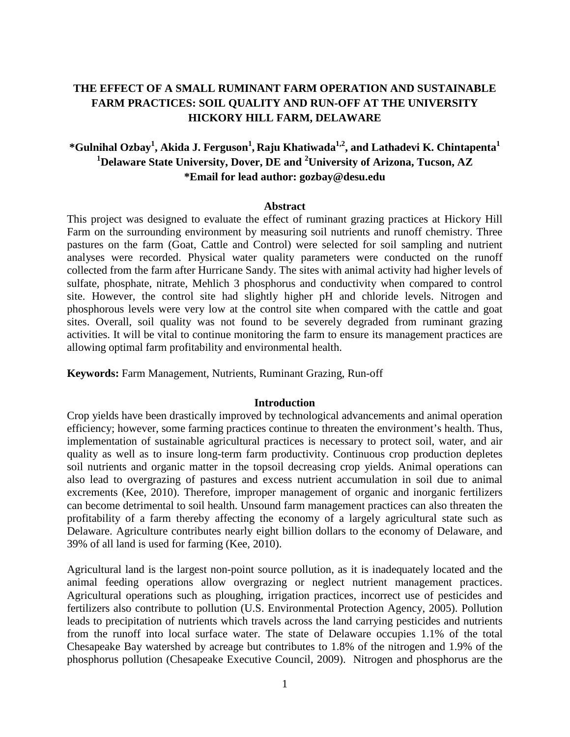### **THE EFFECT OF A SMALL RUMINANT FARM OPERATION AND SUSTAINABLE FARM PRACTICES: SOIL QUALITY AND RUN-OFF AT THE UNIVERSITY HICKORY HILL FARM, DELAWARE**

## **\*Gulnihal Ozbay1 , Akida J. Ferguson<sup>1</sup> , Raju Khatiwada1,2 , and Lathadevi K. Chintapenta1 1 Delaware State University, Dover, DE and 2 University of Arizona, Tucson, AZ \*Email for lead author: gozbay@desu.edu**

#### **Abstract**

This project was designed to evaluate the effect of ruminant grazing practices at Hickory Hill Farm on the surrounding environment by measuring soil nutrients and runoff chemistry. Three pastures on the farm (Goat, Cattle and Control) were selected for soil sampling and nutrient analyses were recorded. Physical water quality parameters were conducted on the runoff collected from the farm after Hurricane Sandy. The sites with animal activity had higher levels of sulfate, phosphate, nitrate, Mehlich 3 phosphorus and conductivity when compared to control site. However, the control site had slightly higher pH and chloride levels. Nitrogen and phosphorous levels were very low at the control site when compared with the cattle and goat sites. Overall, soil quality was not found to be severely degraded from ruminant grazing activities. It will be vital to continue monitoring the farm to ensure its management practices are allowing optimal farm profitability and environmental health.

**Keywords:** Farm Management, Nutrients, Ruminant Grazing, Run-off

#### **Introduction**

Crop yields have been drastically improved by technological advancements and animal operation efficiency; however, some farming practices continue to threaten the environment's health. Thus, implementation of sustainable agricultural practices is necessary to protect soil, water, and air quality as well as to insure long-term farm productivity. Continuous crop production depletes soil nutrients and organic matter in the topsoil decreasing crop yields. Animal operations can also lead to overgrazing of pastures and excess nutrient accumulation in soil due to animal excrements (Kee, 2010). Therefore, improper management of organic and inorganic fertilizers can become detrimental to soil health. Unsound farm management practices can also threaten the profitability of a farm thereby affecting the economy of a largely agricultural state such as Delaware. Agriculture contributes nearly eight billion dollars to the economy of Delaware, and 39% of all land is used for farming (Kee, 2010).

Agricultural land is the largest non-point source pollution, as it is inadequately located and the animal feeding operations allow overgrazing or neglect nutrient management practices. Agricultural operations such as ploughing, irrigation practices, incorrect use of pesticides and fertilizers also contribute to pollution (U.S. Environmental Protection Agency, 2005). Pollution leads to precipitation of nutrients which travels across the land carrying pesticides and nutrients from the runoff into local surface water. The state of Delaware occupies 1.1% of the total Chesapeake Bay watershed by acreage but contributes to 1.8% of the nitrogen and 1.9% of the phosphorus pollution (Chesapeake Executive Council, 2009). Nitrogen and phosphorus are the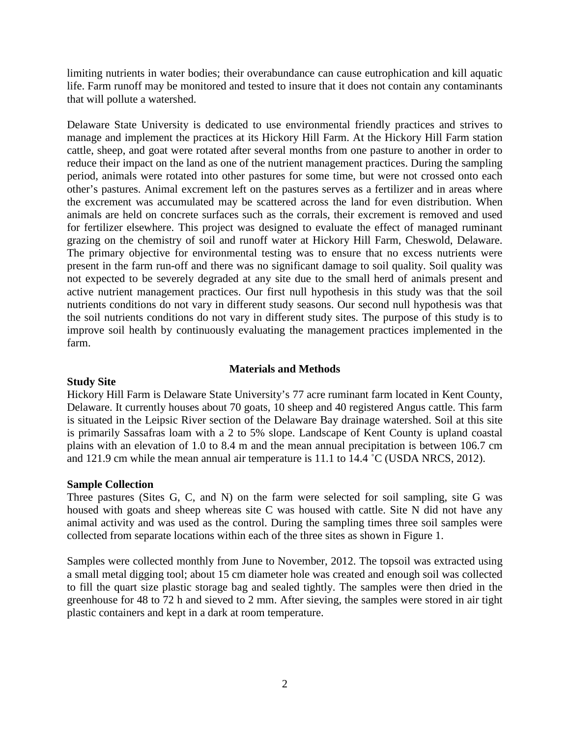limiting nutrients in water bodies; their overabundance can cause eutrophication and kill aquatic life. Farm runoff may be monitored and tested to insure that it does not contain any contaminants that will pollute a watershed.

 Delaware State University is dedicated to use environmental friendly practices and strives to manage and implement the practices at its Hickory Hill Farm. At the Hickory Hill Farm station cattle, sheep, and goat were rotated after several months from one pasture to another in order to reduce their impact on the land as one of the nutrient management practices. During the sampling period, animals were rotated into other pastures for some time, but were not crossed onto each other's pastures. Animal excrement left on the pastures serves as a fertilizer and in areas where the excrement was accumulated may be scattered across the land for even distribution. When animals are held on concrete surfaces such as the corrals, their excrement is removed and used for fertilizer elsewhere. This project was designed to evaluate the effect of managed ruminant grazing on the chemistry of soil and runoff water at Hickory Hill Farm, Cheswold, Delaware. The primary objective for environmental testing was to ensure that no excess nutrients were present in the farm run-off and there was no significant damage to soil quality. Soil quality was not expected to be severely degraded at any site due to the small herd of animals present and active nutrient management practices. Our first null hypothesis in this study was that the soil nutrients conditions do not vary in different study seasons. Our second null hypothesis was that the soil nutrients conditions do not vary in different study sites. The purpose of this study is to improve soil health by continuously evaluating the management practices implemented in the farm.

#### **Materials and Methods**

#### **Study Site**

Hickory Hill Farm is Delaware State University's 77 acre ruminant farm located in Kent County, Delaware. It currently houses about 70 goats, 10 sheep and 40 registered Angus cattle. This farm is situated in the Leipsic River section of the Delaware Bay drainage watershed. Soil at this site is primarily Sassafras loam with a 2 to 5% slope. Landscape of Kent County is upland coastal plains with an elevation of 1.0 to 8.4 m and the mean annual precipitation is between 106.7 cm and 121.9 cm while the mean annual air temperature is 11.1 to 14.4 ˚C (USDA NRCS, 2012).

#### **Sample Collection**

Three pastures (Sites G, C, and N) on the farm were selected for soil sampling, site G was housed with goats and sheep whereas site C was housed with cattle. Site N did not have any animal activity and was used as the control. During the sampling times three soil samples were collected from separate locations within each of the three sites as shown in Figure 1.

Samples were collected monthly from June to November, 2012. The topsoil was extracted using a small metal digging tool; about 15 cm diameter hole was created and enough soil was collected to fill the quart size plastic storage bag and sealed tightly. The samples were then dried in the greenhouse for 48 to 72 h and sieved to 2 mm. After sieving, the samples were stored in air tight plastic containers and kept in a dark at room temperature.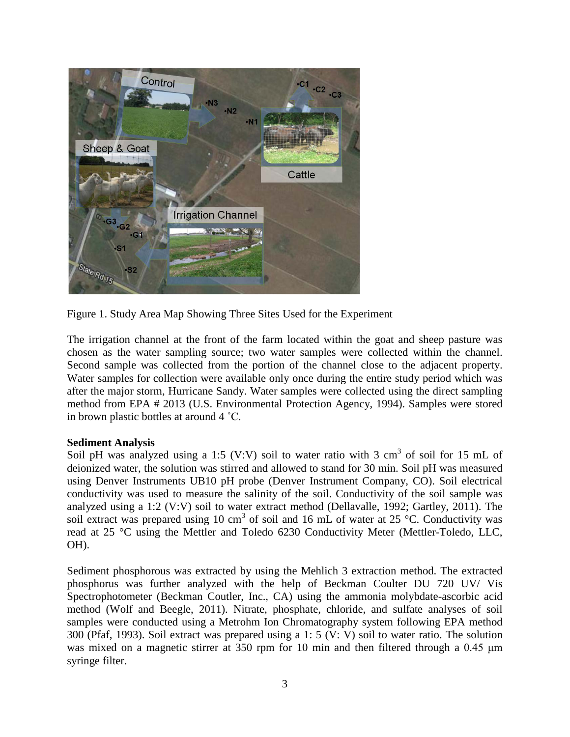

Figure 1. Study Area Map Showing Three Sites Used for the Experiment

The irrigation channel at the front of the farm located within the goat and sheep pasture was chosen as the water sampling source; two water samples were collected within the channel. Second sample was collected from the portion of the channel close to the adjacent property. Water samples for collection were available only once during the entire study period which was after the major storm, Hurricane Sandy. Water samples were collected using the direct sampling method from EPA # 2013 (U.S. Environmental Protection Agency, 1994). Samples were stored in brown plastic bottles at around 4 ˚C.

#### **Sediment Analysis**

Soil pH was analyzed using a 1:5 (V:V) soil to water ratio with 3 cm<sup>3</sup> of soil for 15 mL of deionized water, the solution was stirred and allowed to stand for 30 min. Soil pH was measured using Denver Instruments UB10 pH probe (Denver Instrument Company, CO). Soil electrical conductivity was used to measure the salinity of the soil. Conductivity of the soil sample was analyzed using a 1:2 (V:V) soil to water extract method (Dellavalle, 1992; Gartley, 2011). The soil extract was prepared using 10 cm<sup>3</sup> of soil and 16 mL of water at 25 °C. Conductivity was read at 25 °C using the Mettler and Toledo 6230 Conductivity Meter (Mettler-Toledo, LLC, OH).

Sediment phosphorous was extracted by using the Mehlich 3 extraction method. The extracted phosphorus was further analyzed with the help of Beckman Coulter DU 720 UV/ Vis Spectrophotometer (Beckman Coutler, Inc., CA) using the ammonia molybdate-ascorbic acid method (Wolf and Beegle, 2011). Nitrate, phosphate, chloride, and sulfate analyses of soil samples were conducted using a Metrohm Ion Chromatography system following EPA method 300 (Pfaf, 1993). Soil extract was prepared using a 1: 5 (V: V) soil to water ratio. The solution was mixed on a magnetic stirrer at 350 rpm for 10 min and then filtered through a 0.45 μm syringe filter.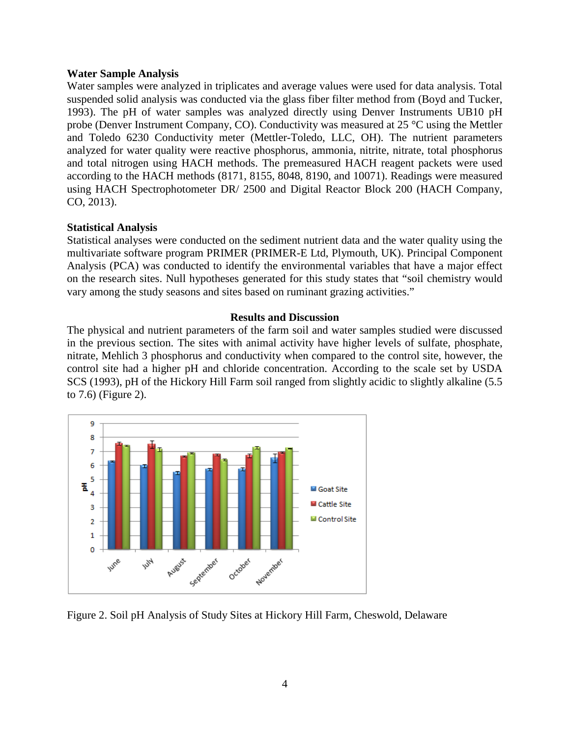#### **Water Sample Analysis**

Water samples were analyzed in triplicates and average values were used for data analysis. Total suspended solid analysis was conducted via the glass fiber filter method from (Boyd and Tucker, 1993). The pH of water samples was analyzed directly using Denver Instruments UB10 pH probe (Denver Instrument Company, CO). Conductivity was measured at 25 °C using the Mettler and Toledo 6230 Conductivity meter (Mettler-Toledo, LLC, OH). The nutrient parameters analyzed for water quality were reactive phosphorus, ammonia, nitrite, nitrate, total phosphorus and total nitrogen using HACH methods. The premeasured HACH reagent packets were used according to the HACH methods (8171, 8155, 8048, 8190, and 10071). Readings were measured using HACH Spectrophotometer DR/ 2500 and Digital Reactor Block 200 (HACH Company, CO, 2013).

#### **Statistical Analysis**

Statistical analyses were conducted on the sediment nutrient data and the water quality using the multivariate software program PRIMER (PRIMER-E Ltd, Plymouth, UK). Principal Component Analysis (PCA) was conducted to identify the environmental variables that have a major effect on the research sites. Null hypotheses generated for this study states that "soil chemistry would vary among the study seasons and sites based on ruminant grazing activities."

#### **Results and Discussion**

The physical and nutrient parameters of the farm soil and water samples studied were discussed in the previous section. The sites with animal activity have higher levels of sulfate, phosphate, nitrate, Mehlich 3 phosphorus and conductivity when compared to the control site, however, the control site had a higher pH and chloride concentration. According to the scale set by USDA SCS (1993), pH of the Hickory Hill Farm soil ranged from slightly acidic to slightly alkaline (5.5 to 7.6) (Figure 2).



Figure 2. Soil pH Analysis of Study Sites at Hickory Hill Farm, Cheswold, Delaware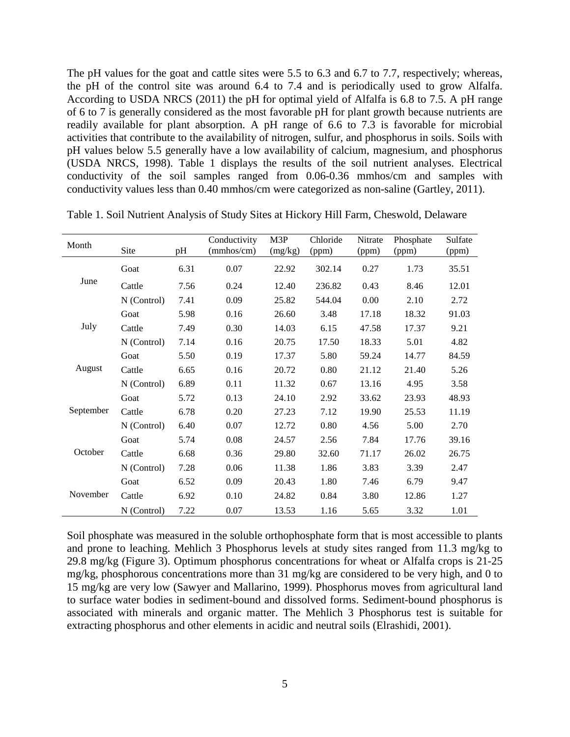The pH values for the goat and cattle sites were 5.5 to 6.3 and 6.7 to 7.7, respectively; whereas, the pH of the control site was around 6.4 to 7.4 and is periodically used to grow Alfalfa. According to USDA NRCS (2011) the pH for optimal yield of Alfalfa is 6.8 to 7.5. A pH range of 6 to 7 is generally considered as the most favorable pH for plant growth because nutrients are readily available for plant absorption. A pH range of 6.6 to 7.3 is favorable for microbial activities that contribute to the availability of nitrogen, sulfur, and phosphorus in soils. Soils with pH values below 5.5 generally have a low availability of calcium, magnesium, and phosphorus (USDA NRCS, 1998). Table 1 displays the results of the soil nutrient analyses. Electrical conductivity of the soil samples ranged from 0.06-0.36 mmhos/cm and samples with conductivity values less than 0.40 mmhos/cm were categorized as non-saline (Gartley, 2011).

| Month     |             |      | Conductivity | M3P     | Chloride | Nitrate | Phosphate | Sulfate |
|-----------|-------------|------|--------------|---------|----------|---------|-----------|---------|
|           | Site        | pН   | (mmhos/cm)   | (mg/kg) | (ppm)    | (ppm)   | (ppm)     | (ppm)   |
| June      | Goat        | 6.31 | 0.07         | 22.92   | 302.14   | 0.27    | 1.73      | 35.51   |
|           | Cattle      | 7.56 | 0.24         | 12.40   | 236.82   | 0.43    | 8.46      | 12.01   |
|           | N (Control) | 7.41 | 0.09         | 25.82   | 544.04   | 0.00    | 2.10      | 2.72    |
| July      | Goat        | 5.98 | 0.16         | 26.60   | 3.48     | 17.18   | 18.32     | 91.03   |
|           | Cattle      | 7.49 | 0.30         | 14.03   | 6.15     | 47.58   | 17.37     | 9.21    |
|           | N (Control) | 7.14 | 0.16         | 20.75   | 17.50    | 18.33   | 5.01      | 4.82    |
| August    | Goat        | 5.50 | 0.19         | 17.37   | 5.80     | 59.24   | 14.77     | 84.59   |
|           | Cattle      | 6.65 | 0.16         | 20.72   | 0.80     | 21.12   | 21.40     | 5.26    |
|           | N (Control) | 6.89 | 0.11         | 11.32   | 0.67     | 13.16   | 4.95      | 3.58    |
| September | Goat        | 5.72 | 0.13         | 24.10   | 2.92     | 33.62   | 23.93     | 48.93   |
|           | Cattle      | 6.78 | 0.20         | 27.23   | 7.12     | 19.90   | 25.53     | 11.19   |
|           | N (Control) | 6.40 | 0.07         | 12.72   | 0.80     | 4.56    | 5.00      | 2.70    |
| October   | Goat        | 5.74 | 0.08         | 24.57   | 2.56     | 7.84    | 17.76     | 39.16   |
|           | Cattle      | 6.68 | 0.36         | 29.80   | 32.60    | 71.17   | 26.02     | 26.75   |
|           | N (Control) | 7.28 | 0.06         | 11.38   | 1.86     | 3.83    | 3.39      | 2.47    |
| November  | Goat        | 6.52 | 0.09         | 20.43   | 1.80     | 7.46    | 6.79      | 9.47    |
|           | Cattle      | 6.92 | 0.10         | 24.82   | 0.84     | 3.80    | 12.86     | 1.27    |
|           | N (Control) | 7.22 | 0.07         | 13.53   | 1.16     | 5.65    | 3.32      | 1.01    |

Table 1. Soil Nutrient Analysis of Study Sites at Hickory Hill Farm, Cheswold, Delaware

Soil phosphate was measured in the soluble orthophosphate form that is most accessible to plants and prone to leaching. Mehlich 3 Phosphorus levels at study sites ranged from 11.3 mg/kg to 29.8 mg/kg (Figure 3). Optimum phosphorus concentrations for wheat or Alfalfa crops is 21-25 mg/kg, phosphorous concentrations more than 31 mg/kg are considered to be very high, and 0 to 15 mg/kg are very low (Sawyer and Mallarino, 1999). Phosphorus moves from agricultural land to surface water bodies in sediment-bound and dissolved forms. Sediment-bound phosphorus is associated with minerals and organic matter. The Mehlich 3 Phosphorus test is suitable for extracting phosphorus and other elements in acidic and neutral soils (Elrashidi, 2001).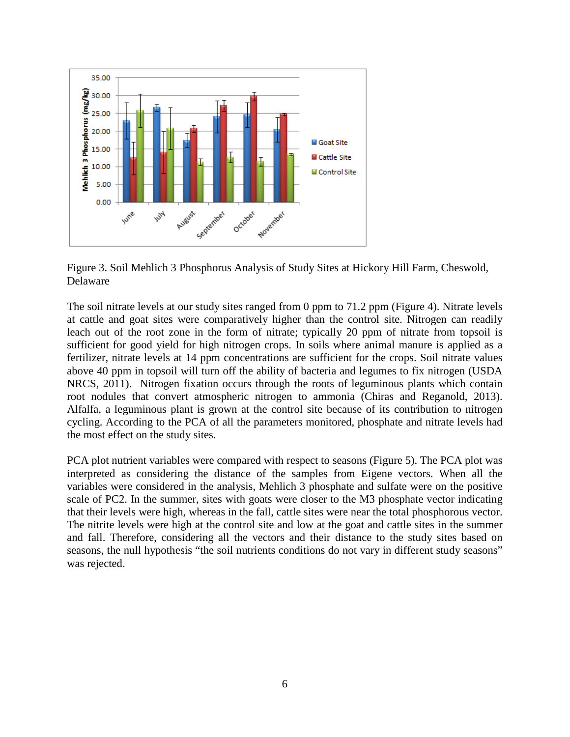

Figure 3. Soil Mehlich 3 Phosphorus Analysis of Study Sites at Hickory Hill Farm, Cheswold, Delaware

The soil nitrate levels at our study sites ranged from 0 ppm to 71.2 ppm (Figure 4). Nitrate levels at cattle and goat sites were comparatively higher than the control site. Nitrogen can readily leach out of the root zone in the form of nitrate; typically 20 ppm of nitrate from topsoil is sufficient for good yield for high nitrogen crops. In soils where animal manure is applied as a fertilizer, nitrate levels at 14 ppm concentrations are sufficient for the crops. Soil nitrate values above 40 ppm in topsoil will turn off the ability of bacteria and legumes to fix nitrogen (USDA NRCS, 2011). Nitrogen fixation occurs through the roots of leguminous plants which contain root nodules that convert atmospheric nitrogen to ammonia (Chiras and Reganold, 2013). Alfalfa, a leguminous plant is grown at the control site because of its contribution to nitrogen cycling. According to the PCA of all the parameters monitored, phosphate and nitrate levels had the most effect on the study sites.

PCA plot nutrient variables were compared with respect to seasons (Figure 5). The PCA plot was interpreted as considering the distance of the samples from Eigene vectors. When all the variables were considered in the analysis, Mehlich 3 phosphate and sulfate were on the positive scale of PC2. In the summer, sites with goats were closer to the M3 phosphate vector indicating that their levels were high, whereas in the fall, cattle sites were near the total phosphorous vector. The nitrite levels were high at the control site and low at the goat and cattle sites in the summer and fall. Therefore, considering all the vectors and their distance to the study sites based on seasons, the null hypothesis "the soil nutrients conditions do not vary in different study seasons" was rejected.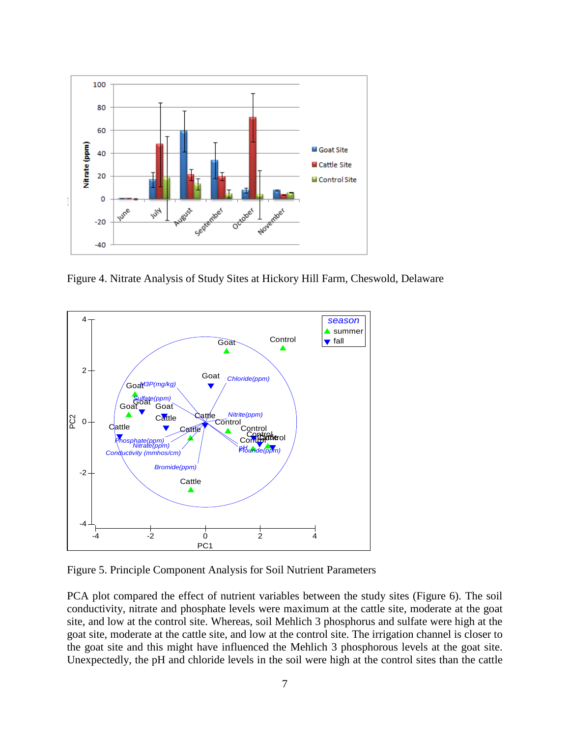

Figure 4. Nitrate Analysis of Study Sites at Hickory Hill Farm, Cheswold, Delaware



Figure 5. Principle Component Analysis for Soil Nutrient Parameters

PCA plot compared the effect of nutrient variables between the study sites (Figure 6). The soil conductivity, nitrate and phosphate levels were maximum at the cattle site, moderate at the goat site, and low at the control site. Whereas, soil Mehlich 3 phosphorus and sulfate were high at the goat site, moderate at the cattle site, and low at the control site. The irrigation channel is closer to the goat site and this might have influenced the Mehlich 3 phosphorous levels at the goat site. Unexpectedly, the pH and chloride levels in the soil were high at the control sites than the cattle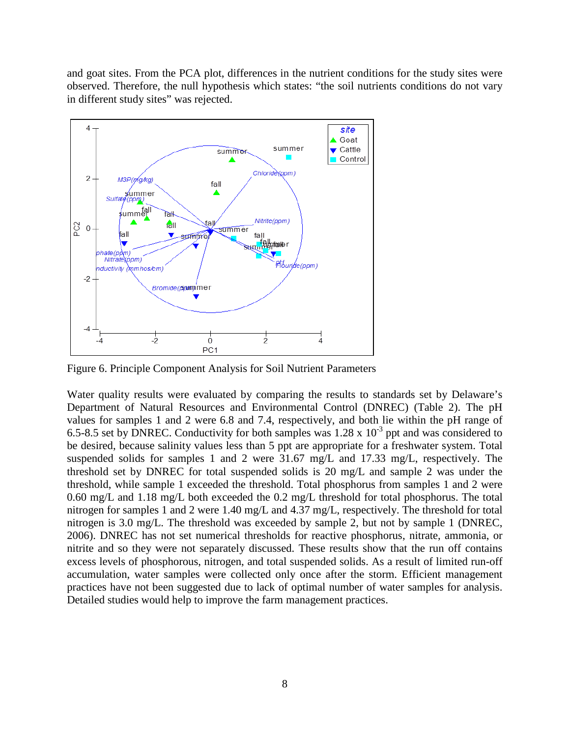and goat sites. From the PCA plot, differences in the nutrient conditions for the study sites were observed. Therefore, the null hypothesis which states: "the soil nutrients conditions do not vary in different study sites" was rejected.



Figure 6. Principle Component Analysis for Soil Nutrient Parameters

Water quality results were evaluated by comparing the results to standards set by Delaware's Department of Natural Resources and Environmental Control (DNREC) (Table 2). The pH values for samples 1 and 2 were 6.8 and 7.4, respectively, and both lie within the pH range of 6.5-8.5 set by DNREC. Conductivity for both samples was  $1.28 \times 10^{-3}$  ppt and was considered to be desired, because salinity values less than 5 ppt are appropriate for a freshwater system. Total suspended solids for samples 1 and 2 were 31.67 mg/L and 17.33 mg/L, respectively. The threshold set by DNREC for total suspended solids is 20 mg/L and sample 2 was under the threshold, while sample 1 exceeded the threshold. Total phosphorus from samples 1 and 2 were 0.60 mg/L and 1.18 mg/L both exceeded the 0.2 mg/L threshold for total phosphorus. The total nitrogen for samples 1 and 2 were 1.40 mg/L and 4.37 mg/L, respectively. The threshold for total nitrogen is 3.0 mg/L. The threshold was exceeded by sample 2, but not by sample 1 (DNREC, 2006). DNREC has not set numerical thresholds for reactive phosphorus, nitrate, ammonia, or nitrite and so they were not separately discussed. These results show that the run off contains excess levels of phosphorous, nitrogen, and total suspended solids. As a result of limited run-off accumulation, water samples were collected only once after the storm. Efficient management practices have not been suggested due to lack of optimal number of water samples for analysis. Detailed studies would help to improve the farm management practices.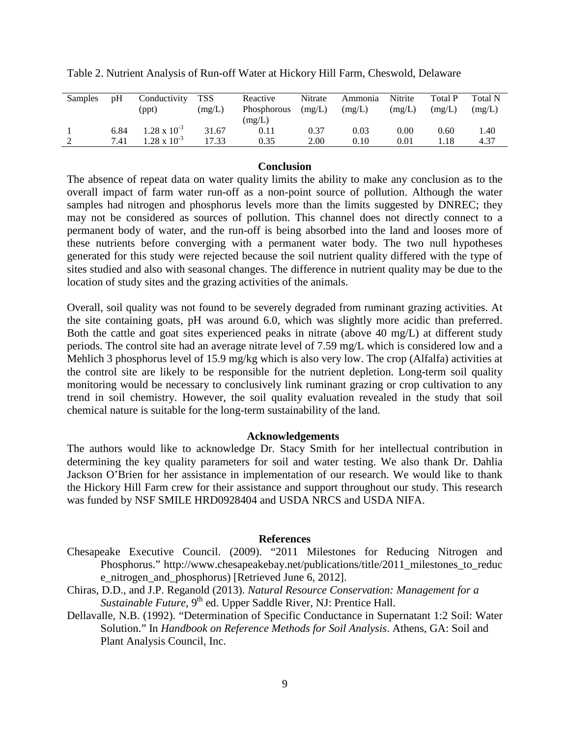| Samples | pH   | Conductivity<br>(ppt) | <b>TSS</b><br>(mg/L) | Reactive<br>Phosphorous<br>(mg/L) | Nitrate<br>(mg/L) | Ammonia<br>(mg/L) | Nitrite<br>(mg/L) | <b>Total P</b><br>(mg/L) | <b>Total N</b><br>(mg/L) |
|---------|------|-----------------------|----------------------|-----------------------------------|-------------------|-------------------|-------------------|--------------------------|--------------------------|
|         | 6.84 | $1.28 \times 10^{-3}$ | 31.67                | 0.11                              | 0.37              | 0.03              | $0.00\,$          | 0.60                     | 1.40                     |
|         | 7.41 | .28 x $10^{-3}$       | 17.33                | 0.35                              | 2.00              | 0.10              | 0.01              | 1.18                     | 4.37                     |

Table 2. Nutrient Analysis of Run-off Water at Hickory Hill Farm, Cheswold, Delaware

#### **Conclusion**

The absence of repeat data on water quality limits the ability to make any conclusion as to the overall impact of farm water run-off as a non-point source of pollution. Although the water samples had nitrogen and phosphorus levels more than the limits suggested by DNREC; they may not be considered as sources of pollution. This channel does not directly connect to a permanent body of water, and the run-off is being absorbed into the land and looses more of these nutrients before converging with a permanent water body. The two null hypotheses generated for this study were rejected because the soil nutrient quality differed with the type of sites studied and also with seasonal changes. The difference in nutrient quality may be due to the location of study sites and the grazing activities of the animals.

Overall, soil quality was not found to be severely degraded from ruminant grazing activities. At the site containing goats, pH was around 6.0, which was slightly more acidic than preferred. Both the cattle and goat sites experienced peaks in nitrate (above 40 mg/L) at different study periods. The control site had an average nitrate level of 7.59 mg/L which is considered low and a Mehlich 3 phosphorus level of 15.9 mg/kg which is also very low. The crop (Alfalfa) activities at the control site are likely to be responsible for the nutrient depletion. Long-term soil quality monitoring would be necessary to conclusively link ruminant grazing or crop cultivation to any trend in soil chemistry. However, the soil quality evaluation revealed in the study that soil chemical nature is suitable for the long-term sustainability of the land.

#### **Acknowledgements**

The authors would like to acknowledge Dr. Stacy Smith for her intellectual contribution in determining the key quality parameters for soil and water testing. We also thank Dr. Dahlia Jackson O'Brien for her assistance in implementation of our research. We would like to thank the Hickory Hill Farm crew for their assistance and support throughout our study. This research was funded by NSF SMILE HRD0928404 and USDA NRCS and USDA NIFA.

#### **References**

Chesapeake Executive Council. (2009). "2011 Milestones for Reducing Nitrogen and Phosphorus." http://www.chesapeakebay.net/publications/title/2011 milestones to reduc e\_nitrogen\_and\_phosphorus) [Retrieved June 6, 2012].

Chiras, D.D., and J.P. Reganold (2013). *Natural Resource Conservation: Management for a Sustainable Future*, 9<sup>th</sup> ed. Upper Saddle River, NJ: Prentice Hall.

Dellavalle, N.B. (1992). "Determination of Specific Conductance in Supernatant 1:2 Soil: Water Solution." In *Handbook on Reference Methods for Soil Analysis*. Athens, GA: Soil and Plant Analysis Council, Inc.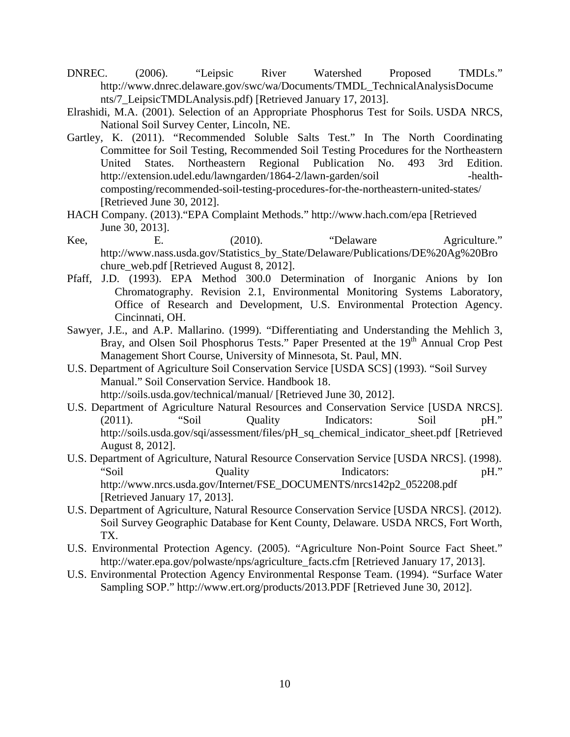- DNREC. (2006). "Leipsic River Watershed Proposed TMDLs." [http://www.dnrec.delaware.gov/swc/wa/Documents/TMDL\\_TechnicalAnalysisDocume](http://www.dnrec.delaware.gov/swc/wa/Documents/TMDL_TechnicalAnalysisDocume) nts/7\_LeipsicTMDLAnalysis.pdf) [Retrieved January 17, 2013].
- Elrashidi, M.A. (2001). Selection of an Appropriate Phosphorus Test for Soils. USDA NRCS, National Soil Survey Center, Lincoln, NE.
- Gartley, K. (2011). "Recommended Soluble Salts Test." In The North Coordinating Committee for Soil Testing, Recommended Soil Testing Procedures for the Northeastern United States. Northeastern Regional Publication No. 493 3rd Edition. http://extension.udel.edu/lawngarden/1864-2/lawn-garden/soil - health[composting/recommended-soil-testing-procedures-for-the-northeastern-united-states/](http://extension.udel.edu/lawngarden/1864-2/lawn-garden/soil%20-health-%09composting/recommended-soil-testing-procedures-for-the-northeastern-united-states/) [Retrieved June 30, 2012].
- HACH Company. (2013)."EPA Complaint Methods." http://www.hach.com/epa [Retrieved June 30, 2013].
- Kee, E. (2010). "Delaware Agriculture." http://www.nass.usda.gov/Statistics\_by\_State/Delaware/Publications/DE%20Ag%20Bro chure\_web.pdf [Retrieved August 8, 2012].
- Pfaff, J.D. (1993). EPA Method 300.0 Determination of Inorganic Anions by Ion Chromatography. Revision 2.1, Environmental Monitoring Systems Laboratory, Office of Research and Development, U.S. Environmental Protection Agency. Cincinnati, OH.
- Sawyer, J.E., and A.P. Mallarino. (1999). "Differentiating and Understanding the Mehlich 3, Bray, and Olsen Soil Phosphorus Tests." Paper Presented at the 19<sup>th</sup> Annual Crop Pest Management Short Course, University of Minnesota, St. Paul, MN.
- U.S. Department of Agriculture Soil Conservation Service [USDA SCS] (1993). "Soil Survey Manual." Soil Conservation Service. Handbook 18. <http://soils.usda.gov/technical/manual/> [Retrieved June 30, 2012].
- U.S. Department of Agriculture Natural Resources and Conservation Service [USDA NRCS]. (2011). "Soil Quality Indicators: Soil pH." [http://soils.usda.gov/sqi/assessment/files/pH\\_sq\\_chemical\\_indicator\\_sheet.pdf](http://soils.usda.gov/sqi/assessment/files/pH_sq_chemical_indicator_sheet.pdf) [Retrieved August 8, 2012].
- U.S. Department of Agriculture, Natural Resource Conservation Service [USDA NRCS]. (1998). "Soil Quality Indicators: pH." http://www.nrcs.usda.gov/Internet/FSE\_DOCUMENTS/nrcs142p2\_052208.pdf [Retrieved January 17, 2013].
- U.S. Department of Agriculture, Natural Resource Conservation Service [USDA NRCS]. (2012). Soil Survey Geographic Database for Kent County, Delaware. USDA NRCS, Fort Worth, TX.
- U.S. Environmental Protection Agency. (2005). "Agriculture Non-Point Source Fact Sheet." http://water.epa.gov/polwaste/nps/agriculture\_facts.cfm [Retrieved January 17, 2013].
- U.S. Environmental Protection Agency Environmental Response Team. (1994). "Surface Water Sampling SOP." http://www.ert.org/products/2013.PDF [Retrieved June 30, 2012].